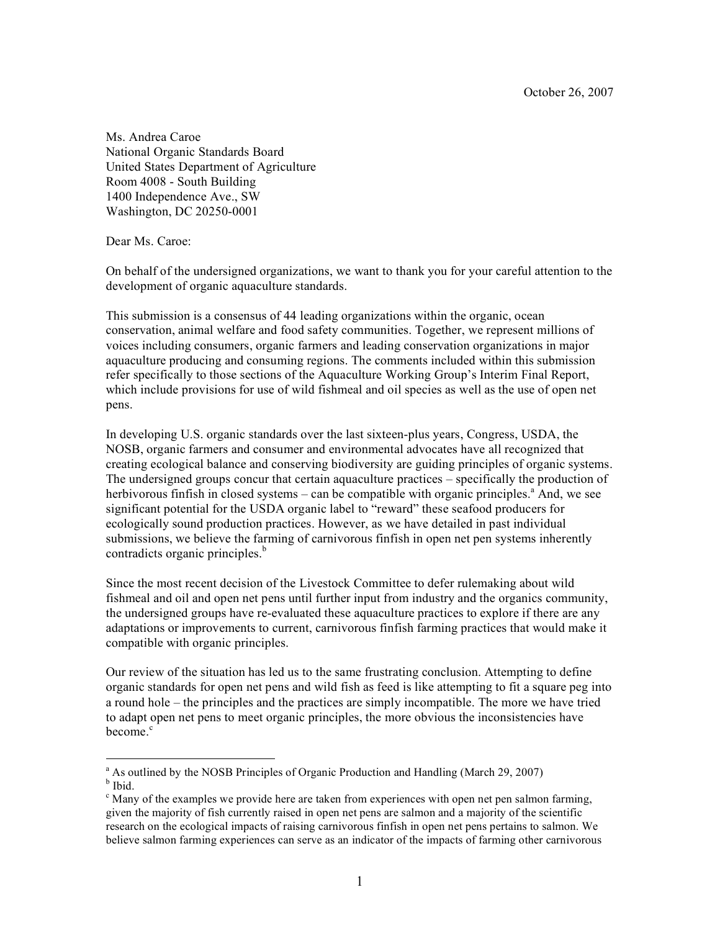October 26, 2007

Ms. Andrea Caroe National Organic Standards Board United States Department of Agriculture Room 4008 - South Building 1400 Independence Ave., SW Washington, DC 20250-0001

Dear Ms. Caroe:

On behalf of the undersigned organizations, we want to thank you for your careful attention to the development of organic aquaculture standards.

This submission is a consensus of 44 leading organizations within the organic, ocean conservation, animal welfare and food safety communities. Together, we represent millions of voices including consumers, organic farmers and leading conservation organizations in major aquaculture producing and consuming regions. The comments included within this submission refer specifically to those sections of the Aquaculture Working Group's Interim Final Report, which include provisions for use of wild fishmeal and oil species as well as the use of open net pens.

In developing U.S. organic standards over the last sixteen-plus years, Congress, USDA, the NOSB, organic farmers and consumer and environmental advocates have all recognized that creating ecological balance and conserving biodiversity are guiding principles of organic systems. The undersigned groups concur that certain aquaculture practices – specifically the production of herbivorous finfish in closed systems – can be compatible with organic principles.<sup>a</sup> And, we see significant potential for the USDA organic label to "reward" these seafood producers for ecologically sound production practices. However, as we have detailed in past individual submissions, we believe the farming of carnivorous finfish in open net pen systems inherently contradicts organic principles. b

Since the most recent decision of the Livestock Committee to defer rulemaking about wild fishmeal and oil and open net pens until further input from industry and the organics community, the undersigned groups have re-evaluated these aquaculture practices to explore if there are any adaptations or improvements to current, carnivorous finfish farming practices that would make it compatible with organic principles.

Our review of the situation has led us to the same frustrating conclusion. Attempting to define organic standards for open net pens and wild fish as feed is like attempting to fit a square peg into a round hole – the principles and the practices are simply incompatible. The more we have tried to adapt open net pens to meet organic principles, the more obvious the inconsistencies have become.<sup>c</sup>

<sup>&</sup>lt;sup>a</sup> As outlined by the NOSB Principles of Organic Production and Handling (March 29, 2007) **b** Ibid.

 $\epsilon$  Many of the examples we provide here are taken from experiences with open net pen salmon farming, given the majority of fish currently raised in open net pens are salmon and a majority of the scientific research on the ecological impacts of raising carnivorous finfish in open net pens pertains to salmon. We believe salmon farming experiences can serve as an indicator of the impacts of farming other carnivorous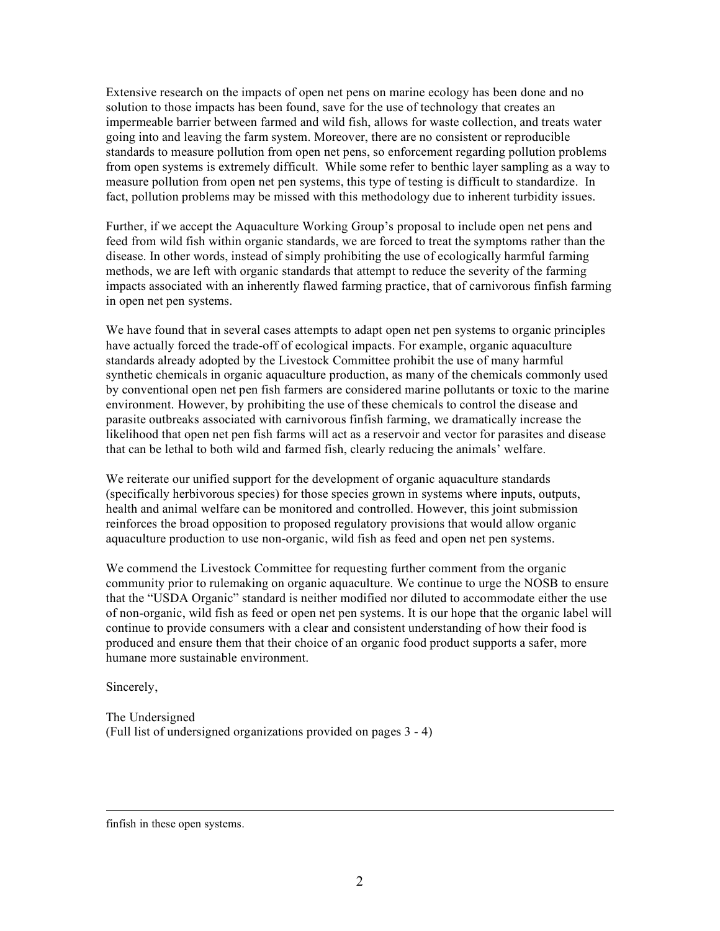Extensive research on the impacts of open net pens on marine ecology has been done and no solution to those impacts has been found, save for the use of technology that creates an impermeable barrier between farmed and wild fish, allows for waste collection, and treats water going into and leaving the farm system. Moreover, there are no consistent or reproducible standards to measure pollution from open net pens, so enforcement regarding pollution problems from open systems is extremely difficult. While some refer to benthic layer sampling as a way to measure pollution from open net pen systems, this type of testing is difficult to standardize. In fact, pollution problems may be missed with this methodology due to inherent turbidity issues.

Further, if we accept the Aquaculture Working Group's proposal to include open net pens and feed from wild fish within organic standards, we are forced to treat the symptoms rather than the disease. In other words, instead of simply prohibiting the use of ecologically harmful farming methods, we are left with organic standards that attempt to reduce the severity of the farming impacts associated with an inherently flawed farming practice, that of carnivorous finfish farming in open net pen systems.

We have found that in several cases attempts to adapt open net pen systems to organic principles have actually forced the trade-off of ecological impacts. For example, organic aquaculture standards already adopted by the Livestock Committee prohibit the use of many harmful synthetic chemicals in organic aquaculture production, as many of the chemicals commonly used by conventional open net pen fish farmers are considered marine pollutants or toxic to the marine environment. However, by prohibiting the use of these chemicals to control the disease and parasite outbreaks associated with carnivorous finfish farming, we dramatically increase the likelihood that open net pen fish farms will act as a reservoir and vector for parasites and disease that can be lethal to both wild and farmed fish, clearly reducing the animals' welfare.

We reiterate our unified support for the development of organic aquaculture standards (specifically herbivorous species) for those species grown in systems where inputs, outputs, health and animal welfare can be monitored and controlled. However, this joint submission reinforces the broad opposition to proposed regulatory provisions that would allow organic aquaculture production to use non-organic, wild fish as feed and open net pen systems.

We commend the Livestock Committee for requesting further comment from the organic community prior to rulemaking on organic aquaculture. We continue to urge the NOSB to ensure that the "USDA Organic" standard is neither modified nor diluted to accommodate either the use of non-organic, wild fish as feed or open net pen systems. It is our hope that the organic label will continue to provide consumers with a clear and consistent understanding of how their food is produced and ensure them that their choice of an organic food product supports a safer, more humane more sustainable environment.

Sincerely,

 $\overline{a}$ 

The Undersigned (Full list of undersigned organizations provided on pages 3 - 4)

finfish in these open systems.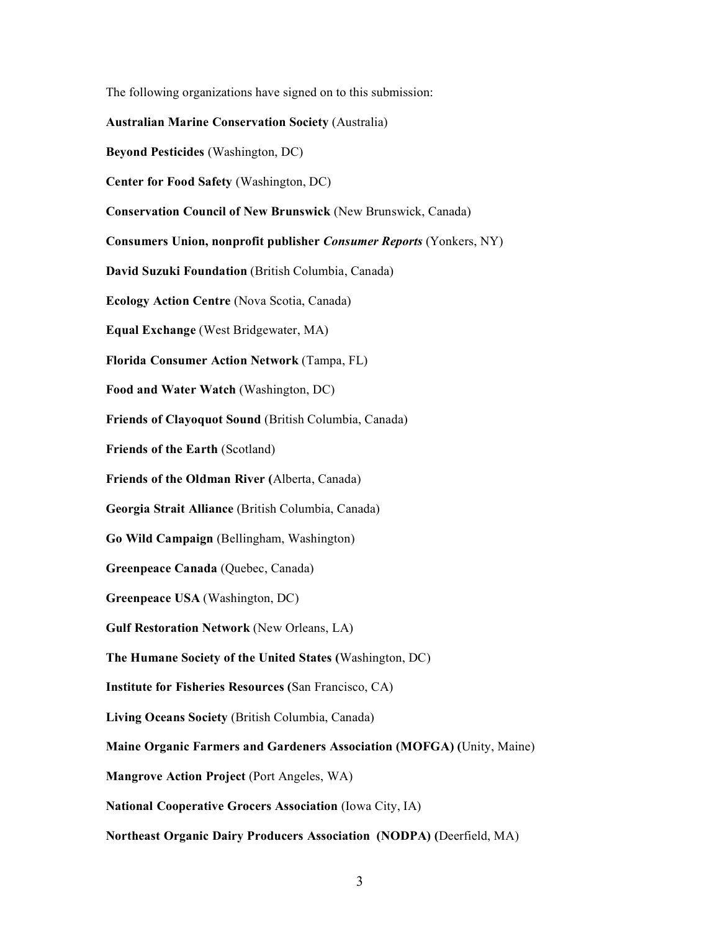The following organizations have signed on to this submission:

#### **Australian Marine Conservation Society** (Australia)

**Beyond Pesticides** (Washington, DC)

**Center for Food Safety** (Washington, DC)

**Conservation Council of New Brunswick** (New Brunswick, Canada)

**Consumers Union, nonprofit publisher** *Consumer Reports* (Yonkers, NY)

**David Suzuki Foundation** (British Columbia, Canada)

**Ecology Action Centre** (Nova Scotia, Canada)

**Equal Exchange** (West Bridgewater, MA)

**Florida Consumer Action Network** (Tampa, FL)

**Food and Water Watch** (Washington, DC)

**Friends of Clayoquot Sound** (British Columbia, Canada)

**Friends of the Earth** (Scotland)

**Friends of the Oldman River (**Alberta, Canada)

**Georgia Strait Alliance** (British Columbia, Canada)

**Go Wild Campaign** (Bellingham, Washington)

**Greenpeace Canada** (Quebec, Canada)

**Greenpeace USA** (Washington, DC)

**Gulf Restoration Network** (New Orleans, LA)

**The Humane Society of the United States (**Washington, DC)

**Institute for Fisheries Resources (**San Francisco, CA)

**Living Oceans Society** (British Columbia, Canada)

**Maine Organic Farmers and Gardeners Association (MOFGA) (**Unity, Maine)

**Mangrove Action Project** (Port Angeles, WA)

**National Cooperative Grocers Association** (Iowa City, IA)

**Northeast Organic Dairy Producers Association (NODPA) (**Deerfield, MA)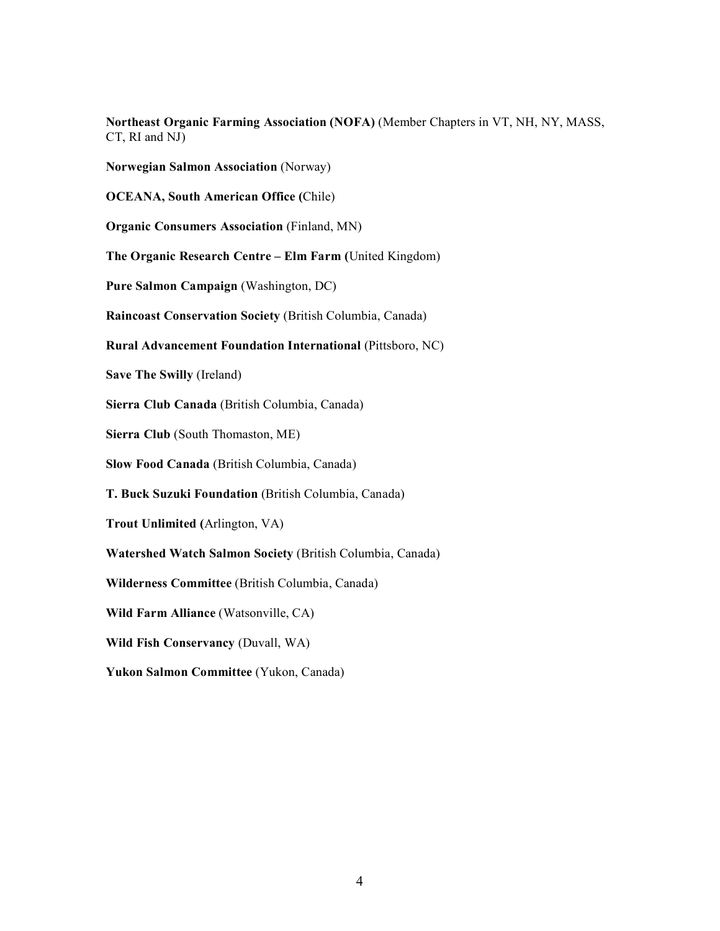**Northeast Organic Farming Association (NOFA)** (Member Chapters in VT, NH, NY, MASS, CT, RI and NJ)

**Norwegian Salmon Association** (Norway)

**OCEANA, South American Office (**Chile)

**Organic Consumers Association** (Finland, MN)

**The Organic Research Centre – Elm Farm (**United Kingdom)

**Pure Salmon Campaign** (Washington, DC)

**Raincoast Conservation Society** (British Columbia, Canada)

## **Rural Advancement Foundation International** (Pittsboro, NC)

**Save The Swilly** (Ireland)

**Sierra Club Canada** (British Columbia, Canada)

**Sierra Club** (South Thomaston, ME)

**Slow Food Canada** (British Columbia, Canada)

**T. Buck Suzuki Foundation** (British Columbia, Canada)

**Trout Unlimited (**Arlington, VA)

**Watershed Watch Salmon Society** (British Columbia, Canada)

**Wilderness Committee** (British Columbia, Canada)

**Wild Farm Alliance** (Watsonville, CA)

**Wild Fish Conservancy** (Duvall, WA)

**Yukon Salmon Committee** (Yukon, Canada)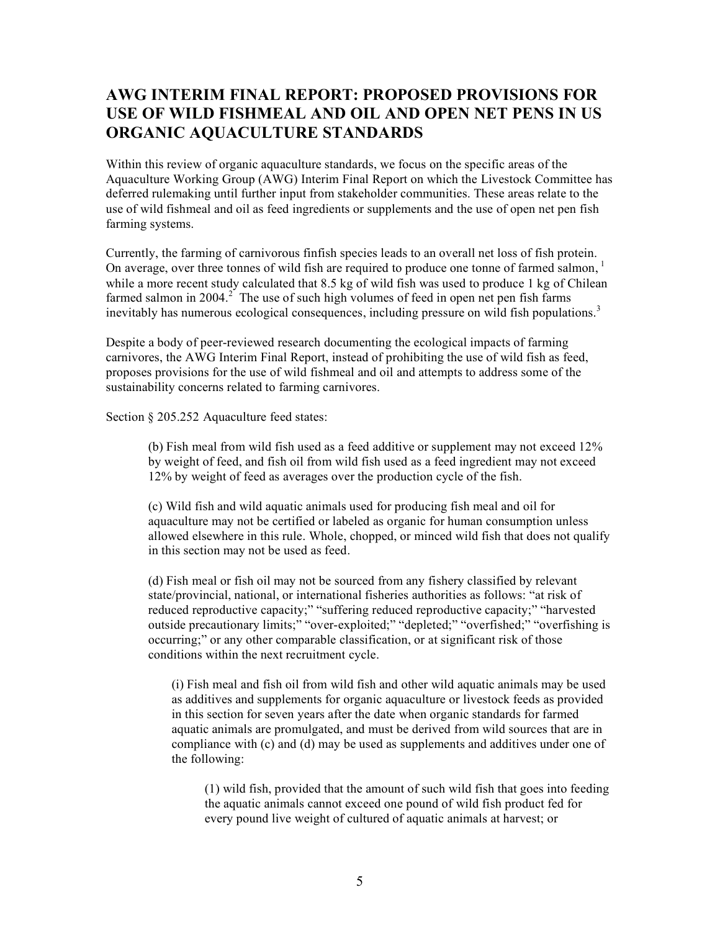# **AWG INTERIM FINAL REPORT: PROPOSED PROVISIONS FOR USE OF WILD FISHMEAL AND OIL AND OPEN NET PENS IN US ORGANIC AQUACULTURE STANDARDS**

Within this review of organic aquaculture standards, we focus on the specific areas of the Aquaculture Working Group (AWG) Interim Final Report on which the Livestock Committee has deferred rulemaking until further input from stakeholder communities. These areas relate to the use of wild fishmeal and oil as feed ingredients or supplements and the use of open net pen fish farming systems.

Currently, the farming of carnivorous finfish species leads to an overall net loss of fish protein. On average, over three tonnes of wild fish are required to produce one tonne of farmed salmon,<sup>1</sup> while a more recent study calculated that 8.5 kg of wild fish was used to produce 1 kg of Chilean farmed salmon in 2004.<sup>2</sup> The use of such high volumes of feed in open net pen fish farms inevitably has numerous ecological consequences, including pressure on wild fish populations.<sup>3</sup>

Despite a body of peer-reviewed research documenting the ecological impacts of farming carnivores, the AWG Interim Final Report, instead of prohibiting the use of wild fish as feed, proposes provisions for the use of wild fishmeal and oil and attempts to address some of the sustainability concerns related to farming carnivores.

Section § 205.252 Aquaculture feed states:

(b) Fish meal from wild fish used as a feed additive or supplement may not exceed 12% by weight of feed, and fish oil from wild fish used as a feed ingredient may not exceed 12% by weight of feed as averages over the production cycle of the fish.

(c) Wild fish and wild aquatic animals used for producing fish meal and oil for aquaculture may not be certified or labeled as organic for human consumption unless allowed elsewhere in this rule. Whole, chopped, or minced wild fish that does not qualify in this section may not be used as feed.

(d) Fish meal or fish oil may not be sourced from any fishery classified by relevant state/provincial, national, or international fisheries authorities as follows: "at risk of reduced reproductive capacity;" "suffering reduced reproductive capacity;" "harvested outside precautionary limits;" "over-exploited;" "depleted;" "overfished;" "overfishing is occurring;" or any other comparable classification, or at significant risk of those conditions within the next recruitment cycle.

(i) Fish meal and fish oil from wild fish and other wild aquatic animals may be used as additives and supplements for organic aquaculture or livestock feeds as provided in this section for seven years after the date when organic standards for farmed aquatic animals are promulgated, and must be derived from wild sources that are in compliance with (c) and (d) may be used as supplements and additives under one of the following:

(1) wild fish, provided that the amount of such wild fish that goes into feeding the aquatic animals cannot exceed one pound of wild fish product fed for every pound live weight of cultured of aquatic animals at harvest; or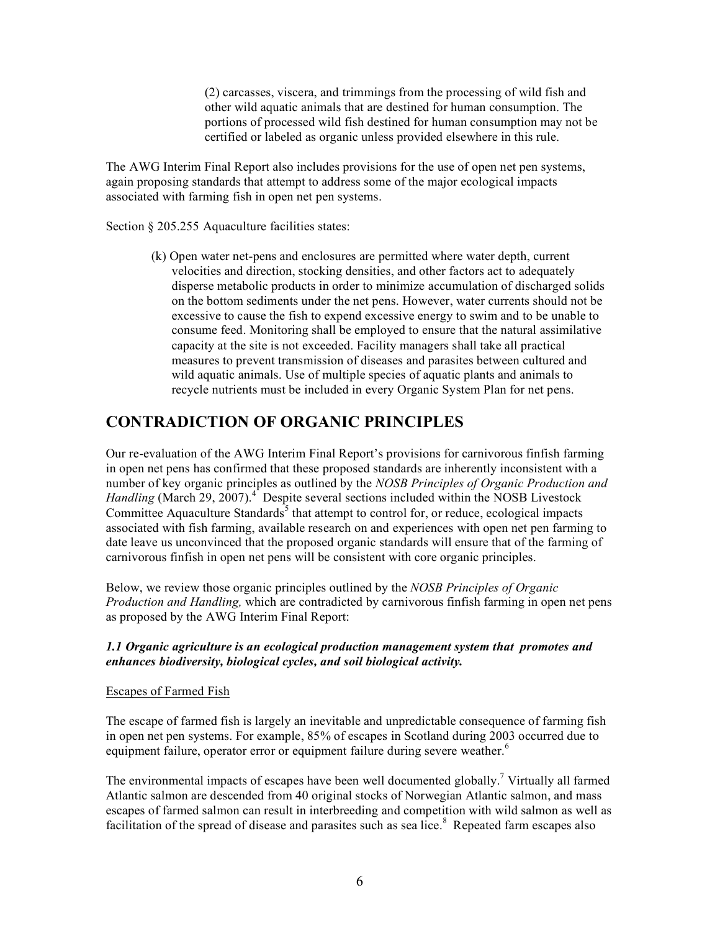(2) carcasses, viscera, and trimmings from the processing of wild fish and other wild aquatic animals that are destined for human consumption. The portions of processed wild fish destined for human consumption may not be certified or labeled as organic unless provided elsewhere in this rule.

The AWG Interim Final Report also includes provisions for the use of open net pen systems, again proposing standards that attempt to address some of the major ecological impacts associated with farming fish in open net pen systems.

Section § 205.255 Aquaculture facilities states:

(k) Open water net-pens and enclosures are permitted where water depth, current velocities and direction, stocking densities, and other factors act to adequately disperse metabolic products in order to minimize accumulation of discharged solids on the bottom sediments under the net pens. However, water currents should not be excessive to cause the fish to expend excessive energy to swim and to be unable to consume feed. Monitoring shall be employed to ensure that the natural assimilative capacity at the site is not exceeded. Facility managers shall take all practical measures to prevent transmission of diseases and parasites between cultured and wild aquatic animals. Use of multiple species of aquatic plants and animals to recycle nutrients must be included in every Organic System Plan for net pens.

# **CONTRADICTION OF ORGANIC PRINCIPLES**

Our re-evaluation of the AWG Interim Final Report's provisions for carnivorous finfish farming in open net pens has confirmed that these proposed standards are inherently inconsistent with a number of key organic principles as outlined by the *NOSB Principles of Organic Production and Handling* (March 29, 2007).<sup>4</sup> Despite several sections included within the NOSB Livestock Committee Aquaculture Standards<sup>5</sup> that attempt to control for, or reduce, ecological impacts associated with fish farming, available research on and experiences with open net pen farming to date leave us unconvinced that the proposed organic standards will ensure that of the farming of carnivorous finfish in open net pens will be consistent with core organic principles.

Below, we review those organic principles outlined by the *NOSB Principles of Organic Production and Handling,* which are contradicted by carnivorous finfish farming in open net pens as proposed by the AWG Interim Final Report:

# *1.1 Organic agriculture is an ecological production management system that promotes and enhances biodiversity, biological cycles, and soil biological activity.*

# Escapes of Farmed Fish

The escape of farmed fish is largely an inevitable and unpredictable consequence of farming fish in open net pen systems. For example, 85% of escapes in Scotland during 2003 occurred due to equipment failure, operator error or equipment failure during severe weather.<sup>6</sup>

The environmental impacts of escapes have been well documented globally.<sup>7</sup> Virtually all farmed Atlantic salmon are descended from 40 original stocks of Norwegian Atlantic salmon, and mass escapes of farmed salmon can result in interbreeding and competition with wild salmon as well as facilitation of the spread of disease and parasites such as sea lice.<sup>8</sup> Repeated farm escapes also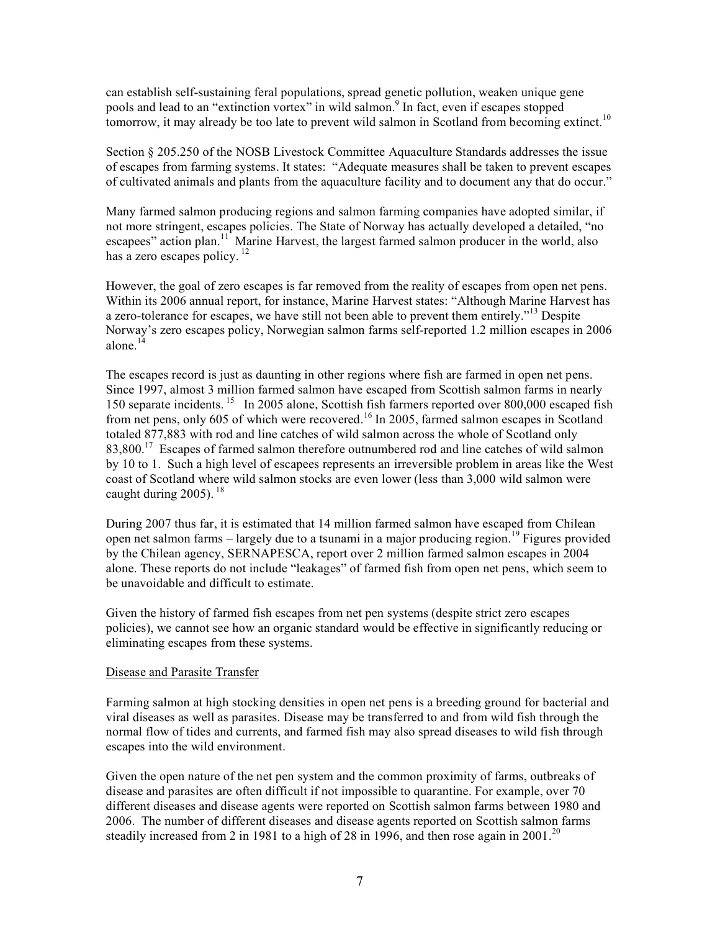can establish self-sustaining feral populations, spread genetic pollution, weaken unique gene pools and lead to an "extinction vortex" in wild salmon. <sup>9</sup> In fact, even if escapes stopped tomorrow, it may already be too late to prevent wild salmon in Scotland from becoming extinct.<sup>10</sup>

Section § 205.250 of the NOSB Livestock Committee Aquaculture Standards addresses the issue of escapes from farming systems. It states: "Adequate measures shall be taken to prevent escapes of cultivated animals and plants from the aquaculture facility and to document any that do occur."

Many farmed salmon producing regions and salmon farming companies have adopted similar, if not more stringent, escapes policies. The State of Norway has actually developed a detailed, "no escapees" action plan.<sup>11</sup> Marine Harvest, the largest farmed salmon producer in the world, also has a zero escapes policy.<sup>12</sup>

However, the goal of zero escapes is far removed from the reality of escapes from open net pens. Within its 2006 annual report, for instance, Marine Harvest states: "Although Marine Harvest has a zero-tolerance for escapes, we have still not been able to prevent them entirely.<sup>"13</sup> Despite Norway's zero escapes policy, Norwegian salmon farms self-reported 1.2 million escapes in 2006 alone.<sup>14</sup>

The escapes record is just as daunting in other regions where fish are farmed in open net pens. Since 1997, almost 3 million farmed salmon have escaped from Scottish salmon farms in nearly 150 separate incidents.<sup>15</sup> In 2005 alone, Scottish fish farmers reported over 800,000 escaped fish from net pens, only 605 of which were recovered.<sup>16</sup> In 2005, farmed salmon escapes in Scotland totaled 877,883 with rod and line catches of wild salmon across the whole of Scotland only 83,800.<sup>17</sup> Escapes of farmed salmon therefore outnumbered rod and line catches of wild salmon by 10 to 1. Such a high level of escapees represents an irreversible problem in areas like the West coast of Scotland where wild salmon stocks are even lower (less than 3,000 wild salmon were caught during  $2005$ ).  $^{18}$ 

During 2007 thus far, it is estimated that 14 million farmed salmon have escaped from Chilean open net salmon farms – largely due to a tsunami in a major producing region. <sup>19</sup> Figures provided by the Chilean agency, SERNAPESCA, report over 2 million farmed salmon escapes in 2004 alone. These reports do not include "leakages" of farmed fish from open net pens, which seem to be unavoidable and difficult to estimate.

Given the history of farmed fish escapes from net pen systems (despite strict zero escapes policies), we cannot see how an organic standard would be effective in significantly reducing or eliminating escapes from these systems.

### Disease and Parasite Transfer

Farming salmon at high stocking densities in open net pens is a breeding ground for bacterial and viral diseases as well as parasites. Disease may be transferred to and from wild fish through the normal flow of tides and currents, and farmed fish may also spread diseases to wild fish through escapes into the wild environment.

Given the open nature of the net pen system and the common proximity of farms, outbreaks of disease and parasites are often difficult if not impossible to quarantine. For example, over 70 different diseases and disease agents were reported on Scottish salmon farms between 1980 and 2006. The number of different diseases and disease agents reported on Scottish salmon farms steadily increased from 2 in 1981 to a high of 28 in 1996, and then rose again in 2001.<sup>20</sup>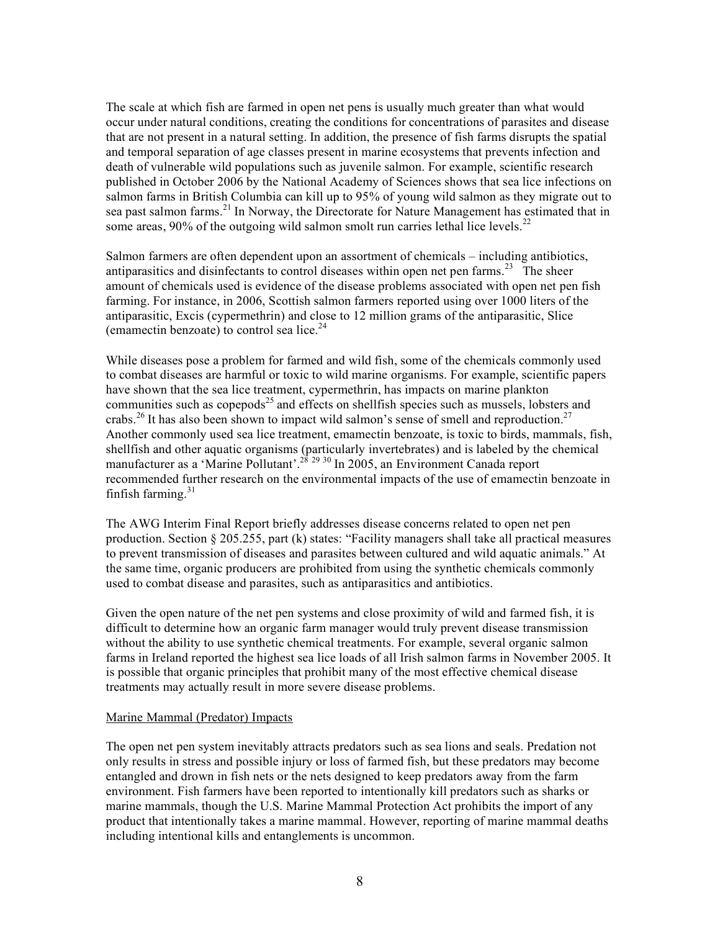The scale at which fish are farmed in open net pens is usually much greater than what would occur under natural conditions, creating the conditions for concentrations of parasites and disease that are not present in a natural setting. In addition, the presence of fish farms disrupts the spatial and temporal separation of age classes present in marine ecosystems that prevents infection and death of vulnerable wild populations such as juvenile salmon. For example, scientific research published in October 2006 by the National Academy of Sciences shows that sea lice infections on salmon farms in British Columbia can kill up to 95% of young wild salmon as they migrate out to sea past salmon farms.<sup>21</sup> In Norway, the Directorate for Nature Management has estimated that in some areas, 90% of the outgoing wild salmon smolt run carries lethal lice levels.<sup>22</sup>

Salmon farmers are often dependent upon an assortment of chemicals – including antibiotics, antiparasitics and disinfectants to control diseases within open net pen farms.<sup>23</sup> The sheer amount of chemicals used is evidence of the disease problems associated with open net pen fish farming. For instance, in 2006, Scottish salmon farmers reported using over 1000 liters of the antiparasitic, Excis (cypermethrin) and close to 12 million grams of the antiparasitic, Slice (emamectin benzoate) to control sea lice. 24

While diseases pose a problem for farmed and wild fish, some of the chemicals commonly used to combat diseases are harmful or toxic to wild marine organisms. For example, scientific papers have shown that the sea lice treatment, cypermethrin, has impacts on marine plankton communities such as copepods<sup>25</sup> and effects on shellfish species such as mussels, lobsters and crabs.<sup>26</sup> It has also been shown to impact wild salmon's sense of smell and reproduction.<sup>27</sup> Another commonly used sea lice treatment, emamectin benzoate, is toxic to birds, mammals, fish, shellfish and other aquatic organisms (particularly invertebrates) and is labeled by the chemical manufacturer as a 'Marine Pollutant'.<sup>28</sup><sup>29</sup><sup>30</sup> In 2005, an Environment Canada report recommended further research on the environmental impacts of the use of emamectin benzoate in finfish farming. 31

The AWG Interim Final Report briefly addresses disease concerns related to open net pen production. Section § 205.255, part (k) states: "Facility managers shall take all practical measures to prevent transmission of diseases and parasites between cultured and wild aquatic animals." At the same time, organic producers are prohibited from using the synthetic chemicals commonly used to combat disease and parasites, such as antiparasitics and antibiotics.

Given the open nature of the net pen systems and close proximity of wild and farmed fish, it is difficult to determine how an organic farm manager would truly prevent disease transmission without the ability to use synthetic chemical treatments. For example, several organic salmon farms in Ireland reported the highest sea lice loads of all Irish salmon farms in November 2005. It is possible that organic principles that prohibit many of the most effective chemical disease treatments may actually result in more severe disease problems.

### Marine Mammal (Predator) Impacts

The open net pen system inevitably attracts predators such as sea lions and seals. Predation not only results in stress and possible injury or loss of farmed fish, but these predators may become entangled and drown in fish nets or the nets designed to keep predators away from the farm environment. Fish farmers have been reported to intentionally kill predators such as sharks or marine mammals, though the U.S. Marine Mammal Protection Act prohibits the import of any product that intentionally takes a marine mammal. However, reporting of marine mammal deaths including intentional kills and entanglements is uncommon.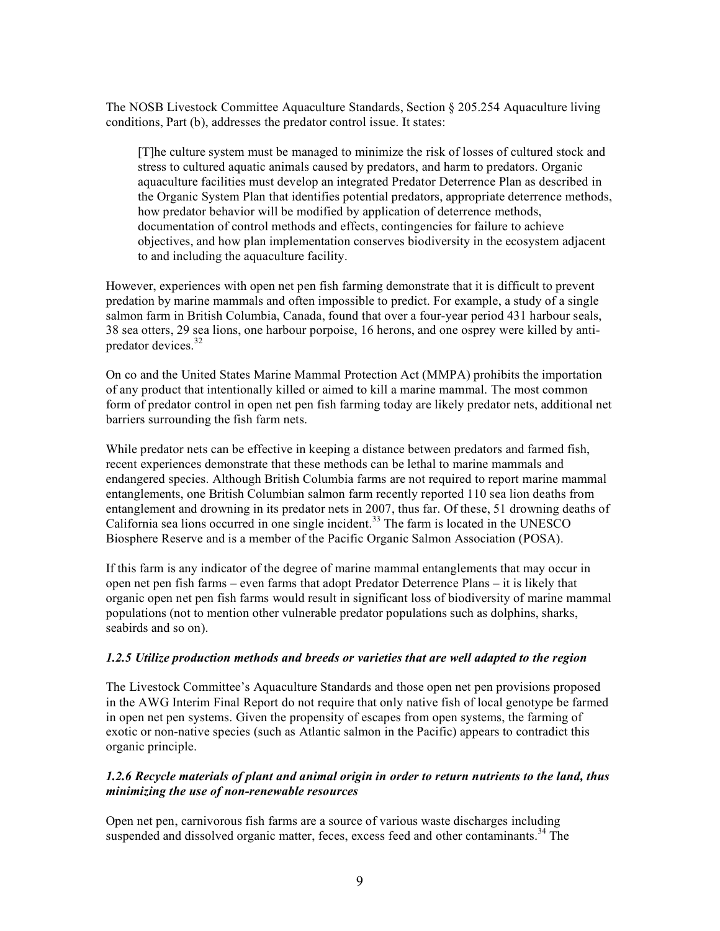The NOSB Livestock Committee Aquaculture Standards, Section § 205.254 Aquaculture living conditions, Part (b), addresses the predator control issue. It states:

[T]he culture system must be managed to minimize the risk of losses of cultured stock and stress to cultured aquatic animals caused by predators, and harm to predators. Organic aquaculture facilities must develop an integrated Predator Deterrence Plan as described in the Organic System Plan that identifies potential predators, appropriate deterrence methods, how predator behavior will be modified by application of deterrence methods, documentation of control methods and effects, contingencies for failure to achieve objectives, and how plan implementation conserves biodiversity in the ecosystem adjacent to and including the aquaculture facility.

However, experiences with open net pen fish farming demonstrate that it is difficult to prevent predation by marine mammals and often impossible to predict. For example, a study of a single salmon farm in British Columbia, Canada, found that over a four-year period 431 harbour seals, 38 sea otters, 29 sea lions, one harbour porpoise, 16 herons, and one osprey were killed by antipredator devices. 32

On co and the United States Marine Mammal Protection Act (MMPA) prohibits the importation of any product that intentionally killed or aimed to kill a marine mammal. The most common form of predator control in open net pen fish farming today are likely predator nets, additional net barriers surrounding the fish farm nets.

While predator nets can be effective in keeping a distance between predators and farmed fish, recent experiences demonstrate that these methods can be lethal to marine mammals and endangered species. Although British Columbia farms are not required to report marine mammal entanglements, one British Columbian salmon farm recently reported 110 sea lion deaths from entanglement and drowning in its predator nets in 2007, thus far. Of these, 51 drowning deaths of California sea lions occurred in one single incident. <sup>33</sup> The farm is located in the UNESCO Biosphere Reserve and is a member of the Pacific Organic Salmon Association (POSA).

If this farm is any indicator of the degree of marine mammal entanglements that may occur in open net pen fish farms – even farms that adopt Predator Deterrence Plans – it is likely that organic open net pen fish farms would result in significant loss of biodiversity of marine mammal populations (not to mention other vulnerable predator populations such as dolphins, sharks, seabirds and so on).

### *1.2.5 Utilize production methods and breeds or varieties that are well adapted to the region*

The Livestock Committee's Aquaculture Standards and those open net pen provisions proposed in the AWG Interim Final Report do not require that only native fish of local genotype be farmed in open net pen systems. Given the propensity of escapes from open systems, the farming of exotic or non-native species (such as Atlantic salmon in the Pacific) appears to contradict this organic principle.

# *1.2.6 Recycle materials of plant and animal origin in order to return nutrients to the land, thus minimizing the use of non-renewable resources*

Open net pen, carnivorous fish farms are a source of various waste discharges including suspended and dissolved organic matter, feces, excess feed and other contaminants.<sup>34</sup> The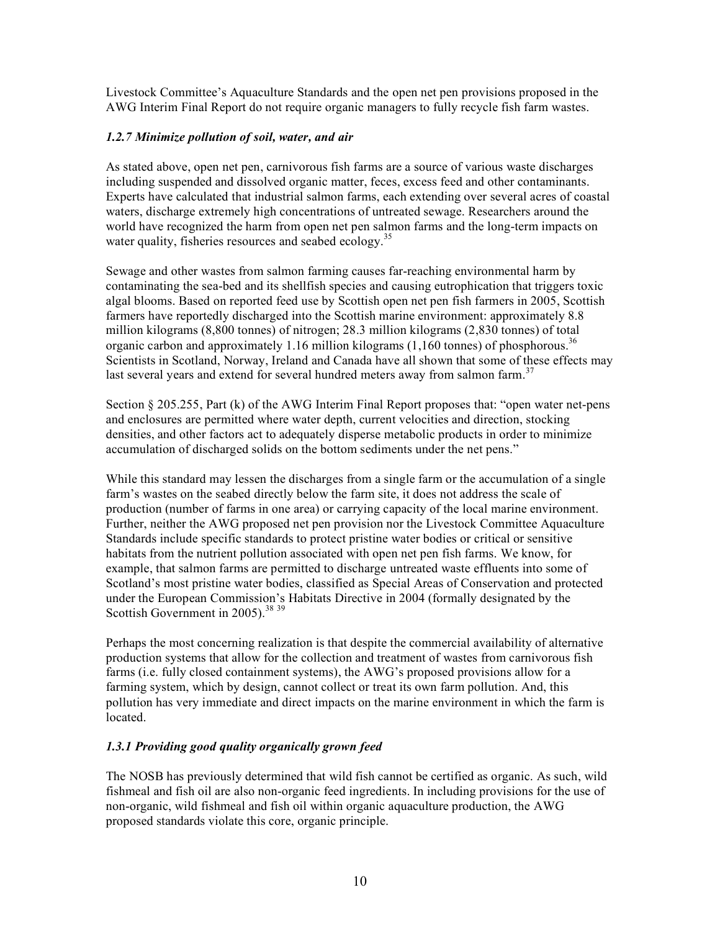Livestock Committee's Aquaculture Standards and the open net pen provisions proposed in the AWG Interim Final Report do not require organic managers to fully recycle fish farm wastes.

# *1.2.7 Minimize pollution of soil, water, and air*

As stated above, open net pen, carnivorous fish farms are a source of various waste discharges including suspended and dissolved organic matter, feces, excess feed and other contaminants. Experts have calculated that industrial salmon farms, each extending over several acres of coastal waters, discharge extremely high concentrations of untreated sewage. Researchers around the world have recognized the harm from open net pen salmon farms and the long-term impacts on water quality, fisheries resources and seabed ecology.<sup>35</sup>

Sewage and other wastes from salmon farming causes far-reaching environmental harm by contaminating the sea-bed and its shellfish species and causing eutrophication that triggers toxic algal blooms. Based on reported feed use by Scottish open net pen fish farmers in 2005, Scottish farmers have reportedly discharged into the Scottish marine environment: approximately 8.8 million kilograms (8,800 tonnes) of nitrogen; 28.3 million kilograms (2,830 tonnes) of total organic carbon and approximately 1.16 million kilograms  $(1,160 \text{ tonnes})$  of phosphorous.<sup>36</sup> Scientists in Scotland, Norway, Ireland and Canada have all shown that some of these effects may last several years and extend for several hundred meters away from salmon farm.<sup>37</sup>

Section § 205.255, Part (k) of the AWG Interim Final Report proposes that: "open water net-pens and enclosures are permitted where water depth, current velocities and direction, stocking densities, and other factors act to adequately disperse metabolic products in order to minimize accumulation of discharged solids on the bottom sediments under the net pens."

While this standard may lessen the discharges from a single farm or the accumulation of a single farm's wastes on the seabed directly below the farm site, it does not address the scale of production (number of farms in one area) or carrying capacity of the local marine environment. Further, neither the AWG proposed net pen provision nor the Livestock Committee Aquaculture Standards include specific standards to protect pristine water bodies or critical or sensitive habitats from the nutrient pollution associated with open net pen fish farms. We know, for example, that salmon farms are permitted to discharge untreated waste effluents into some of Scotland's most pristine water bodies, classified as Special Areas of Conservation and protected under the European Commission's Habitats Directive in 2004 (formally designated by the Scottish Government in 2005).<sup>38 39</sup>

Perhaps the most concerning realization is that despite the commercial availability of alternative production systems that allow for the collection and treatment of wastes from carnivorous fish farms (i.e. fully closed containment systems), the AWG's proposed provisions allow for a farming system, which by design, cannot collect or treat its own farm pollution. And, this pollution has very immediate and direct impacts on the marine environment in which the farm is located.

# *1.3.1 Providing good quality organically grown feed*

The NOSB has previously determined that wild fish cannot be certified as organic. As such, wild fishmeal and fish oil are also non-organic feed ingredients. In including provisions for the use of non-organic, wild fishmeal and fish oil within organic aquaculture production, the AWG proposed standards violate this core, organic principle.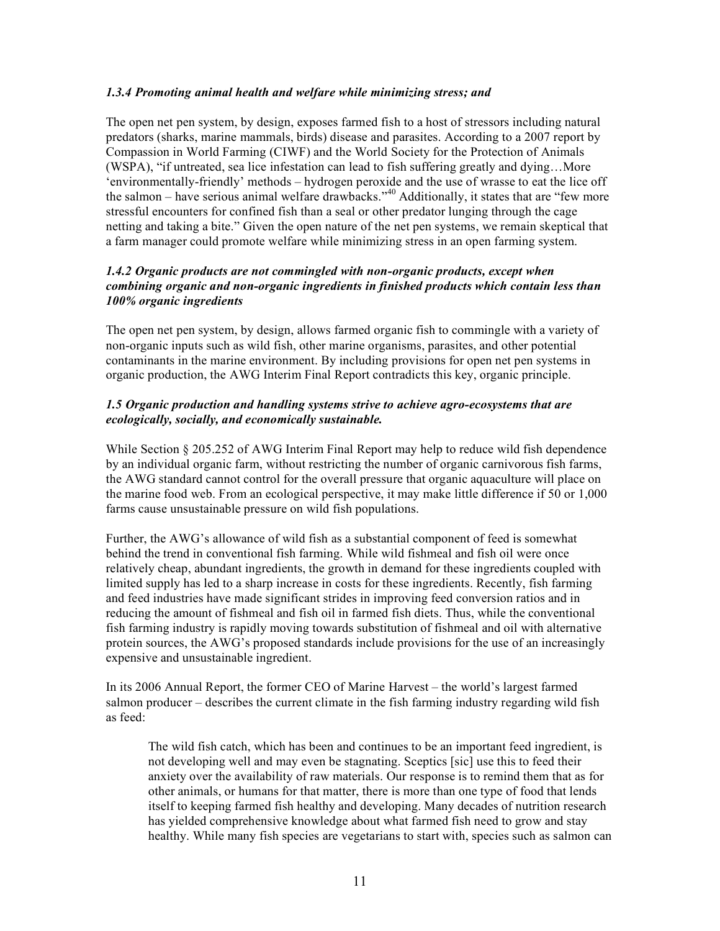# *1.3.4 Promoting animal health and welfare while minimizing stress; and*

The open net pen system, by design, exposes farmed fish to a host of stressors including natural predators (sharks, marine mammals, birds) disease and parasites. According to a 2007 report by Compassion in World Farming (CIWF) and the World Society for the Protection of Animals (WSPA), "if untreated, sea lice infestation can lead to fish suffering greatly and dying…More 'environmentally-friendly' methods – hydrogen peroxide and the use of wrasse to eat the lice off the salmon – have serious animal welfare drawbacks."<sup>40</sup> Additionally, it states that are "few more stressful encounters for confined fish than a seal or other predator lunging through the cage netting and taking a bite." Given the open nature of the net pen systems, we remain skeptical that a farm manager could promote welfare while minimizing stress in an open farming system.

# *1.4.2 Organic products are not commingled with non-organic products, except when combining organic and non-organic ingredients in finished products which contain less than 100% organic ingredients*

The open net pen system, by design, allows farmed organic fish to commingle with a variety of non-organic inputs such as wild fish, other marine organisms, parasites, and other potential contaminants in the marine environment. By including provisions for open net pen systems in organic production, the AWG Interim Final Report contradicts this key, organic principle.

# *1.5 Organic production and handling systems strive to achieve agro-ecosystems that are ecologically, socially, and economically sustainable.*

While Section § 205.252 of AWG Interim Final Report may help to reduce wild fish dependence by an individual organic farm, without restricting the number of organic carnivorous fish farms, the AWG standard cannot control for the overall pressure that organic aquaculture will place on the marine food web. From an ecological perspective, it may make little difference if 50 or 1,000 farms cause unsustainable pressure on wild fish populations.

Further, the AWG's allowance of wild fish as a substantial component of feed is somewhat behind the trend in conventional fish farming. While wild fishmeal and fish oil were once relatively cheap, abundant ingredients, the growth in demand for these ingredients coupled with limited supply has led to a sharp increase in costs for these ingredients. Recently, fish farming and feed industries have made significant strides in improving feed conversion ratios and in reducing the amount of fishmeal and fish oil in farmed fish diets. Thus, while the conventional fish farming industry is rapidly moving towards substitution of fishmeal and oil with alternative protein sources, the AWG's proposed standards include provisions for the use of an increasingly expensive and unsustainable ingredient.

In its 2006 Annual Report, the former CEO of Marine Harvest – the world's largest farmed salmon producer – describes the current climate in the fish farming industry regarding wild fish as feed:

The wild fish catch, which has been and continues to be an important feed ingredient, is not developing well and may even be stagnating. Sceptics [sic] use this to feed their anxiety over the availability of raw materials. Our response is to remind them that as for other animals, or humans for that matter, there is more than one type of food that lends itself to keeping farmed fish healthy and developing. Many decades of nutrition research has yielded comprehensive knowledge about what farmed fish need to grow and stay healthy. While many fish species are vegetarians to start with, species such as salmon can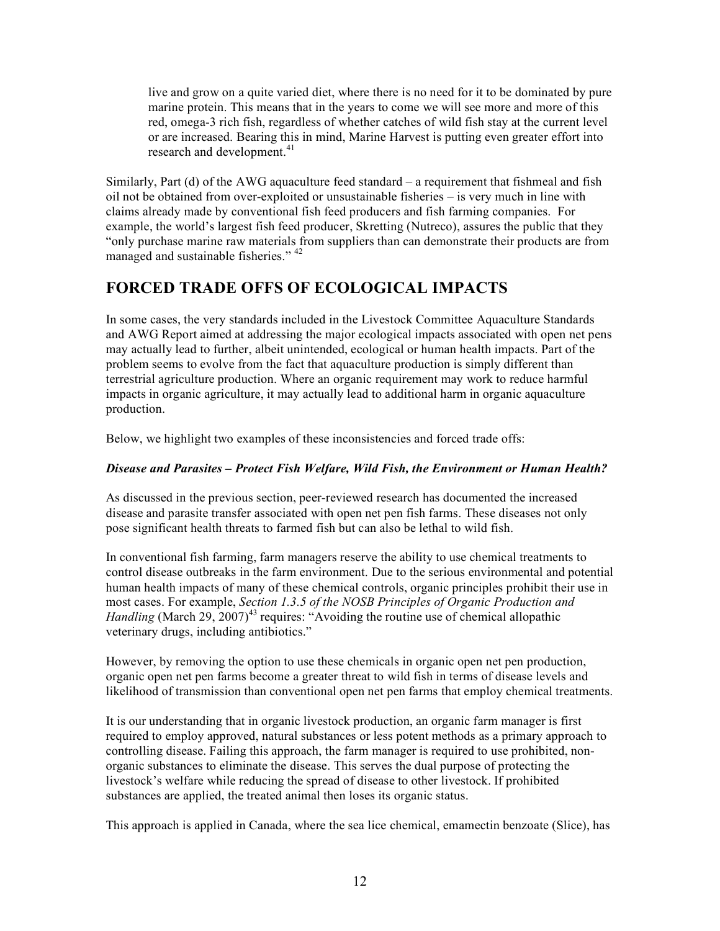live and grow on a quite varied diet, where there is no need for it to be dominated by pure marine protein. This means that in the years to come we will see more and more of this red, omega-3 rich fish, regardless of whether catches of wild fish stay at the current level or are increased. Bearing this in mind, Marine Harvest is putting even greater effort into research and development.<sup>41</sup>

Similarly, Part (d) of the AWG aquaculture feed standard – a requirement that fishmeal and fish oil not be obtained from over-exploited or unsustainable fisheries – is very much in line with claims already made by conventional fish feed producers and fish farming companies. For example, the world's largest fish feed producer, Skretting (Nutreco), assures the public that they "only purchase marine raw materials from suppliers than can demonstrate their products are from managed and sustainable fisheries." <sup>42</sup>

# **FORCED TRADE OFFS OF ECOLOGICAL IMPACTS**

In some cases, the very standards included in the Livestock Committee Aquaculture Standards and AWG Report aimed at addressing the major ecological impacts associated with open net pens may actually lead to further, albeit unintended, ecological or human health impacts. Part of the problem seems to evolve from the fact that aquaculture production is simply different than terrestrial agriculture production. Where an organic requirement may work to reduce harmful impacts in organic agriculture, it may actually lead to additional harm in organic aquaculture production.

Below, we highlight two examples of these inconsistencies and forced trade offs:

# *Disease and Parasites – Protect Fish Welfare, Wild Fish, the Environment or Human Health?*

As discussed in the previous section, peer-reviewed research has documented the increased disease and parasite transfer associated with open net pen fish farms. These diseases not only pose significant health threats to farmed fish but can also be lethal to wild fish.

In conventional fish farming, farm managers reserve the ability to use chemical treatments to control disease outbreaks in the farm environment. Due to the serious environmental and potential human health impacts of many of these chemical controls, organic principles prohibit their use in most cases. For example, *Section 1.3.5 of the NOSB Principles of Organic Production and* Handling (March 29, 2007)<sup>43</sup> requires: "Avoiding the routine use of chemical allopathic veterinary drugs, including antibiotics."

However, by removing the option to use these chemicals in organic open net pen production, organic open net pen farms become a greater threat to wild fish in terms of disease levels and likelihood of transmission than conventional open net pen farms that employ chemical treatments.

It is our understanding that in organic livestock production, an organic farm manager is first required to employ approved, natural substances or less potent methods as a primary approach to controlling disease. Failing this approach, the farm manager is required to use prohibited, nonorganic substances to eliminate the disease. This serves the dual purpose of protecting the livestock's welfare while reducing the spread of disease to other livestock. If prohibited substances are applied, the treated animal then loses its organic status.

This approach is applied in Canada, where the sea lice chemical, emamectin benzoate (Slice), has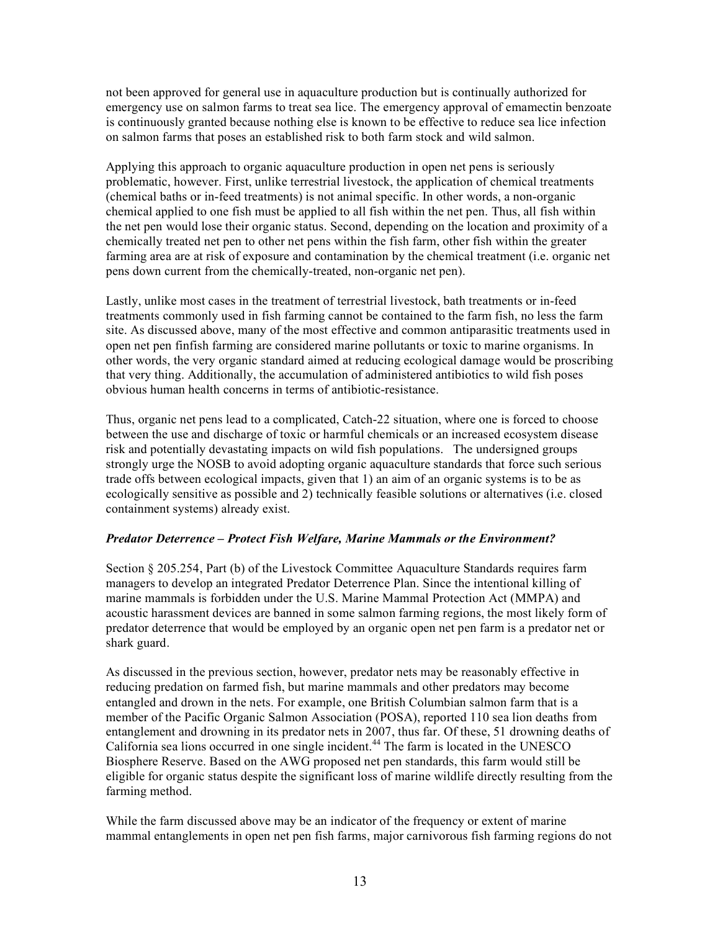not been approved for general use in aquaculture production but is continually authorized for emergency use on salmon farms to treat sea lice. The emergency approval of emamectin benzoate is continuously granted because nothing else is known to be effective to reduce sea lice infection on salmon farms that poses an established risk to both farm stock and wild salmon.

Applying this approach to organic aquaculture production in open net pens is seriously problematic, however. First, unlike terrestrial livestock, the application of chemical treatments (chemical baths or in-feed treatments) is not animal specific. In other words, a non-organic chemical applied to one fish must be applied to all fish within the net pen. Thus, all fish within the net pen would lose their organic status. Second, depending on the location and proximity of a chemically treated net pen to other net pens within the fish farm, other fish within the greater farming area are at risk of exposure and contamination by the chemical treatment (i.e. organic net pens down current from the chemically-treated, non-organic net pen).

Lastly, unlike most cases in the treatment of terrestrial livestock, bath treatments or in-feed treatments commonly used in fish farming cannot be contained to the farm fish, no less the farm site. As discussed above, many of the most effective and common antiparasitic treatments used in open net pen finfish farming are considered marine pollutants or toxic to marine organisms. In other words, the very organic standard aimed at reducing ecological damage would be proscribing that very thing. Additionally, the accumulation of administered antibiotics to wild fish poses obvious human health concerns in terms of antibiotic-resistance.

Thus, organic net pens lead to a complicated, Catch-22 situation, where one is forced to choose between the use and discharge of toxic or harmful chemicals or an increased ecosystem disease risk and potentially devastating impacts on wild fish populations. The undersigned groups strongly urge the NOSB to avoid adopting organic aquaculture standards that force such serious trade offs between ecological impacts, given that 1) an aim of an organic systems is to be as ecologically sensitive as possible and 2) technically feasible solutions or alternatives (i.e. closed containment systems) already exist.

# *Predator Deterrence – Protect Fish Welfare, Marine Mammals or the Environment?*

Section § 205.254, Part (b) of the Livestock Committee Aquaculture Standards requires farm managers to develop an integrated Predator Deterrence Plan. Since the intentional killing of marine mammals is forbidden under the U.S. Marine Mammal Protection Act (MMPA) and acoustic harassment devices are banned in some salmon farming regions, the most likely form of predator deterrence that would be employed by an organic open net pen farm is a predator net or shark guard.

As discussed in the previous section, however, predator nets may be reasonably effective in reducing predation on farmed fish, but marine mammals and other predators may become entangled and drown in the nets. For example, one British Columbian salmon farm that is a member of the Pacific Organic Salmon Association (POSA), reported 110 sea lion deaths from entanglement and drowning in its predator nets in 2007, thus far. Of these, 51 drowning deaths of California sea lions occurred in one single incident. <sup>44</sup> The farm is located in the UNESCO Biosphere Reserve. Based on the AWG proposed net pen standards, this farm would still be eligible for organic status despite the significant loss of marine wildlife directly resulting from the farming method.

While the farm discussed above may be an indicator of the frequency or extent of marine mammal entanglements in open net pen fish farms, major carnivorous fish farming regions do not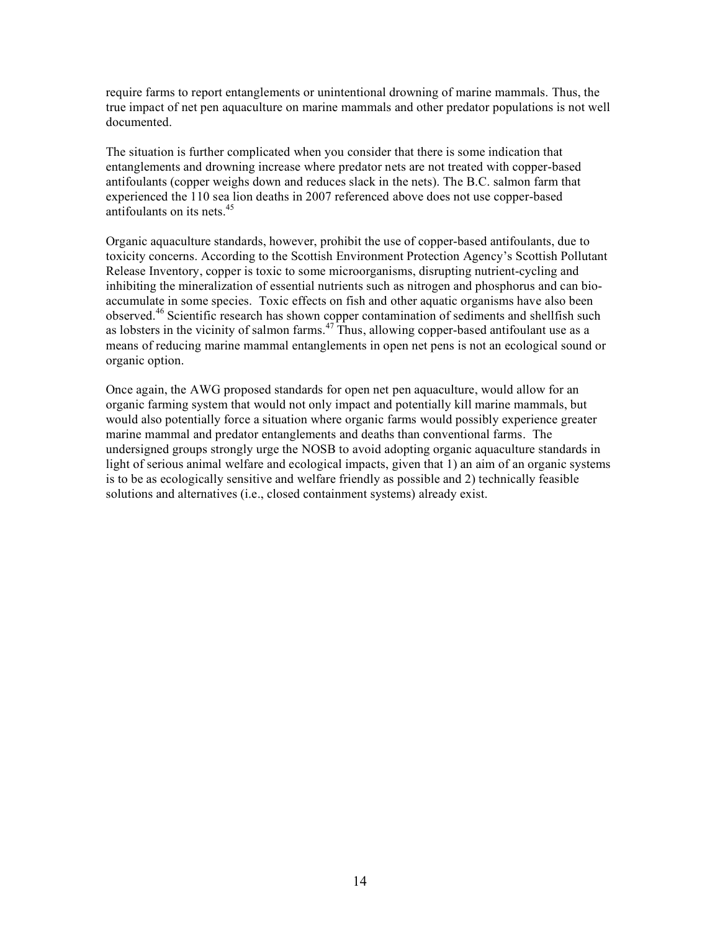require farms to report entanglements or unintentional drowning of marine mammals. Thus, the true impact of net pen aquaculture on marine mammals and other predator populations is not well documented.

The situation is further complicated when you consider that there is some indication that entanglements and drowning increase where predator nets are not treated with copper-based antifoulants (copper weighs down and reduces slack in the nets). The B.C. salmon farm that experienced the 110 sea lion deaths in 2007 referenced above does not use copper-based antifoulants on its nets. 45

Organic aquaculture standards, however, prohibit the use of copper-based antifoulants, due to toxicity concerns. According to the Scottish Environment Protection Agency's Scottish Pollutant Release Inventory, copper is toxic to some microorganisms, disrupting nutrient-cycling and inhibiting the mineralization of essential nutrients such as nitrogen and phosphorus and can bioaccumulate in some species. Toxic effects on fish and other aquatic organisms have also been observed.<sup>46</sup> Scientific research has shown copper contamination of sediments and shellfish such as lobsters in the vicinity of salmon farms.  $47$  Thus, allowing copper-based antifoulant use as a means of reducing marine mammal entanglements in open net pens is not an ecological sound or organic option.

Once again, the AWG proposed standards for open net pen aquaculture, would allow for an organic farming system that would not only impact and potentially kill marine mammals, but would also potentially force a situation where organic farms would possibly experience greater marine mammal and predator entanglements and deaths than conventional farms. The undersigned groups strongly urge the NOSB to avoid adopting organic aquaculture standards in light of serious animal welfare and ecological impacts, given that 1) an aim of an organic systems is to be as ecologically sensitive and welfare friendly as possible and 2) technically feasible solutions and alternatives (i.e., closed containment systems) already exist.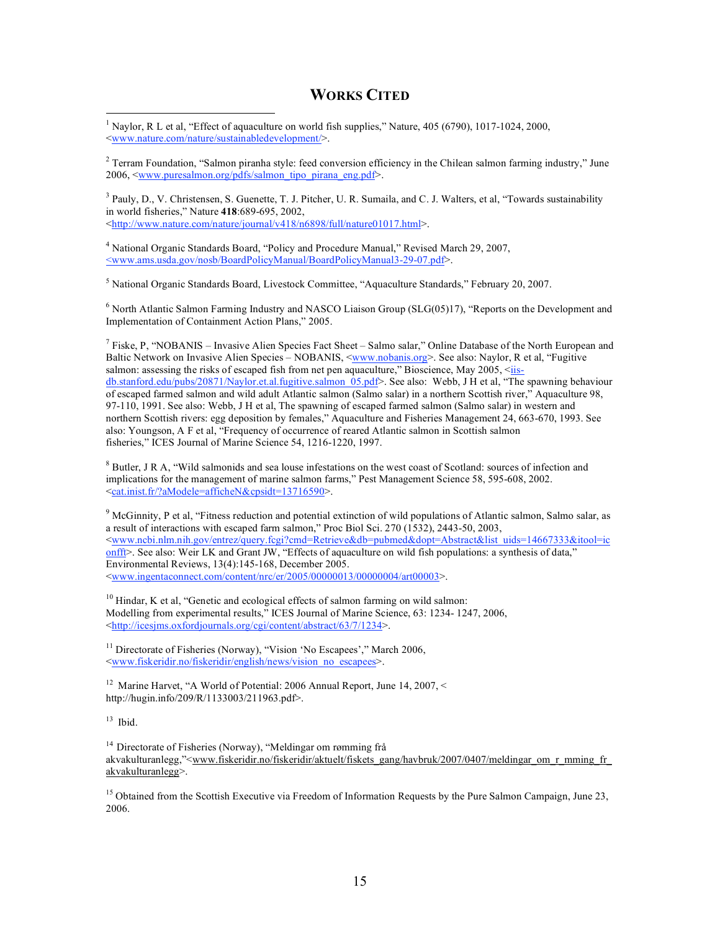# **WORKS CITED**

<sup>1</sup> Naylor, R L et al, "Effect of aquaculture on world fish supplies," Nature,  $405 (6790)$ ,  $1017$ - $1024$ ,  $2000$ , <www.nature.com/nature/sustainabledevelopment/>.

 $2$  Terram Foundation, "Salmon piranha style: feed conversion efficiency in the Chilean salmon farming industry," June 2006, <www.puresalmon.org/pdfs/salmon\_tipo\_pirana\_eng.pdf>.

 $3$  Pauly, D., V. Christensen, S. Guenette, T. J. Pitcher, U. R. Sumaila, and C. J. Walters, et al, "Towards sustainability in world fisheries," Nature **418**:689-695, 2002, <http://www.nature.com/nature/journal/v418/n6898/full/nature01017.html>.

<sup>4</sup> National Organic Standards Board, "Policy and Procedure Manual," Revised March 29, 2007, <www.ams.usda.gov/nosb/BoardPolicyManual/BoardPolicyManual3-29-07.pdf>.

<sup>5</sup> National Organic Standards Board, Livestock Committee, "Aquaculture Standards," February 20, 2007.

 $6$  North Atlantic Salmon Farming Industry and NASCO Liaison Group (SLG(05)17), "Reports on the Development and Implementation of Containment Action Plans," 2005.

<sup>7</sup> Fiske, P. "NOBANIS – Invasive Alien Species Fact Sheet – Salmo salar," Online Database of the North European and Baltic Network on Invasive Alien Species – NOBANIS, <www.nobanis.org>. See also: Naylor, R et al, "Fugitive salmon: assessing the risks of escaped fish from net pen aquaculture," Bioscience, May 2005,  $\leq$ iisdb.stanford.edu/pubs/20871/Naylor.et.al.fugitive.salmon\_05.pdf>. See also: Webb, J H et al, "The spawning behaviour of escaped farmed salmon and wild adult Atlantic salmon (Salmo salar) in a northern Scottish river," Aquaculture 98, 97-110, 1991. See also: Webb, J H et al, The spawning of escaped farmed salmon (Salmo salar) in western and northern Scottish rivers: egg deposition by females," Aquaculture and Fisheries Management 24, 663-670, 1993. See also: Youngson, A F et al, "Frequency of occurrence of reared Atlantic salmon in Scottish salmon fisheries," ICES Journal of Marine Science 54, 1216-1220, 1997.

<sup>8</sup> Butler, J R A, "Wild salmonids and sea louse infestations on the west coast of Scotland: sources of infection and implications for the management of marine salmon farms," Pest Management Science 58, 595-608, 2002. <cat.inist.fr/?aModele=afficheN&cpsidt=13716590>.

<sup>9</sup> McGinnity, P et al, "Fitness reduction and potential extinction of wild populations of Atlantic salmon, Salmo salar, as a result of interactions with escaped farm salmon," Proc Biol Sci. 270 (1532), 2443-50, 2003, <www.ncbi.nlm.nih.gov/entrez/query.fcgi?cmd=Retrieve&db=pubmed&dopt=Abstract&list\_uids=14667333&itool=ic onfft>. See also: Weir LK and Grant JW, "Effects of aquaculture on wild fish populations: a synthesis of data," Environmental Reviews, 13(4):145-168, December 2005. <www.ingentaconnect.com/content/nrc/er/2005/00000013/00000004/art00003>.

 $10$  Hindar, K et al, "Genetic and ecological effects of salmon farming on wild salmon: Modelling from experimental results," ICES Journal of Marine Science, 63: 1234- 1247, 2006, <http://icesjms.oxfordjournals.org/cgi/content/abstract/63/7/1234>.

<sup>11</sup> Directorate of Fisheries (Norway), "Vision 'No Escapees'," March 2006, <www.fiskeridir.no/fiskeridir/english/news/vision\_no\_escapees>.

<sup>12</sup> Marine Harvet, "A World of Potential: 2006 Annual Report, June 14, 2007, < http://hugin.info/209/R/1133003/211963.pdf>.

 $13$  Ibid.

<sup>14</sup> Directorate of Fisheries (Norway), "Meldingar om rømming frå akvakulturanlegg,"<www.fiskeridir.no/fiskeridir/aktuelt/fiskets\_gang/havbruk/2007/0407/meldingar\_om\_r\_mming\_fr\_ akvakulturanlegg>.

<sup>15</sup> Obtained from the Scottish Executive via Freedom of Information Requests by the Pure Salmon Campaign, June 23, 2006.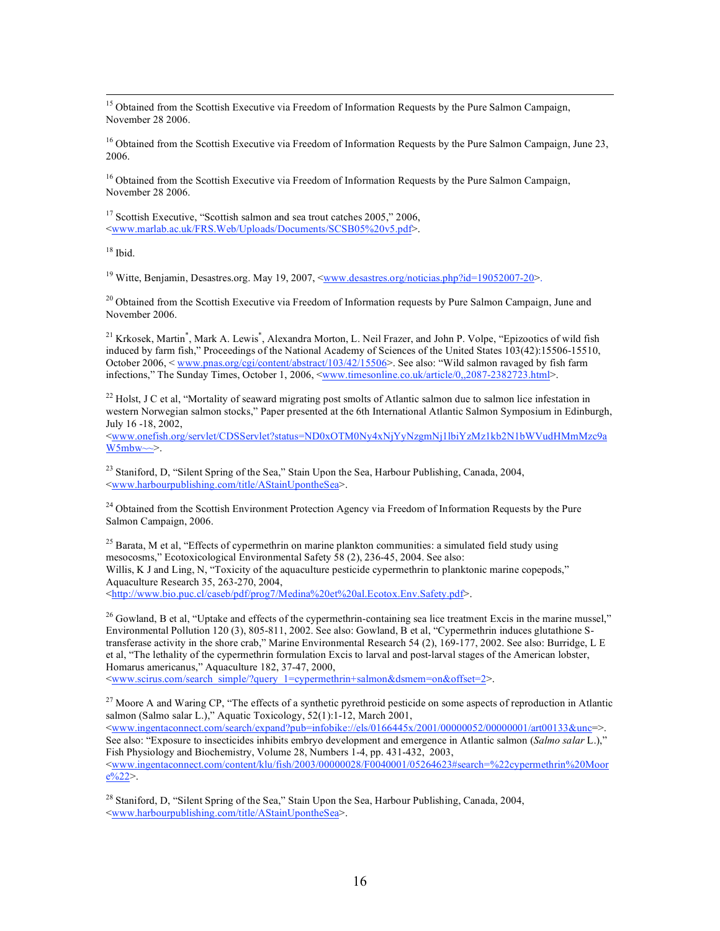<sup>15</sup> Obtained from the Scottish Executive via Freedom of Information Requests by the Pure Salmon Campaign, November 28 2006.

 $16$  Obtained from the Scottish Executive via Freedom of Information Requests by the Pure Salmon Campaign, June 23, 2006.

<sup>16</sup> Obtained from the Scottish Executive via Freedom of Information Requests by the Pure Salmon Campaign, November 28 2006.

<sup>17</sup> Scottish Executive, "Scottish salmon and sea trout catches 2005," 2006, <www.marlab.ac.uk/FRS.Web/Uploads/Documents/SCSB05%20v5.pdf>.

 $18$  Ibid.

<sup>19</sup> Witte, Benjamin, Desastres.org. May 19, 2007, <www.desastres.org/noticias.php?id=19052007-20>.

<sup>20</sup> Obtained from the Scottish Executive via Freedom of Information requests by Pure Salmon Campaign, June and November 2006.

<sup>21</sup> Krkosek, Martin<sup>\*</sup>, Mark A. Lewis<sup>\*</sup>, Alexandra Morton, L. Neil Frazer, and John P. Volpe, "Epizootics of wild fish induced by farm fish," Proceedings of the National Academy of Sciences of the United States 103(42):15506-15510, October 2006, < www.pnas.org/cgi/content/abstract/103/42/15506 >. See also: "Wild salmon ravaged by fish farm infections," The Sunday Times, October 1, 2006, <<u>www.timesonline.co.uk/article/0,,2087-2382723.html</u>>.

<sup>22</sup> Holst, J C et al, "Mortality of seaward migrating post smolts of Atlantic salmon due to salmon lice infestation in western Norwegian salmon stocks," Paper presented at the 6th International Atlantic Salmon Symposium in Edinburgh, July 16 -18, 2002,

<www.onefish.org/servlet/CDSServlet?status=ND0xOTM0Ny4xNjYyNzgmNj1lbiYzMz1kb2N1bWVudHMmMzc9a  $W5mbw \sim >.$ 

<sup>23</sup> Staniford, D, "Silent Spring of the Sea," Stain Upon the Sea, Harbour Publishing, Canada, 2004, <www.harbourpublishing.com/title/AStainUpontheSea>.

<sup>24</sup> Obtained from the Scottish Environment Protection Agency via Freedom of Information Requests by the Pure Salmon Campaign, 2006.

 $^{25}$  Barata, M et al, "Effects of cypermethrin on marine plankton communities: a simulated field study using mesocosms," Ecotoxicological Environmental Safety 58 (2), 236-45, 2004. See also: Willis, K J and Ling, N, "Toxicity of the aquaculture pesticide cypermethrin to planktonic marine copepods," Aquaculture Research 35, 263-270, 2004, <http://www.bio.puc.cl/caseb/pdf/prog7/Medina%20et%20al.Ecotox.Env.Safety.pdf>.

<sup>26</sup> Gowland, B et al, "Uptake and effects of the cypermethrin-containing sea lice treatment Excis in the marine mussel," Environmental Pollution 120 (3), 805-811, 2002. See also: Gowland, B et al, "Cypermethrin induces glutathione Stransferase activity in the shore crab," Marine Environmental Research 54 (2), 169-177, 2002. See also: Burridge, L E et al, "The lethality of the cypermethrin formulation Excis to larval and post-larval stages of the American lobster, Homarus americanus," Aquaculture 182, 37-47, 2000,

<www.scirus.com/search\_simple/?query\_1=cypermethrin+salmon&dsmem=on&offset=2>.

<sup>27</sup> Moore A and Waring CP, "The effects of a synthetic pyrethroid pesticide on some aspects of reproduction in Atlantic salmon (Salmo salar L.)," Aquatic Toxicology, 52(1):1-12, March 2001, <www.ingentaconnect.com/search/expand?pub=infobike://els/0166445x/2001/00000052/00000001/art00133&unc=>.

See also: "Exposure to insecticides inhibits embryo development and emergence in Atlantic salmon (*Salmo salar* L.)," Fish Physiology and Biochemistry, Volume 28, Numbers 1-4, pp. 431-432, 2003, <www.ingentaconnect.com/content/klu/fish/2003/00000028/F0040001/05264623#search=%22cypermethrin%20Moor  $e\sqrt{622}$ .

<sup>28</sup> Staniford, D, "Silent Spring of the Sea," Stain Upon the Sea, Harbour Publishing, Canada, 2004, <www.harbourpublishing.com/title/AStainUpontheSea>.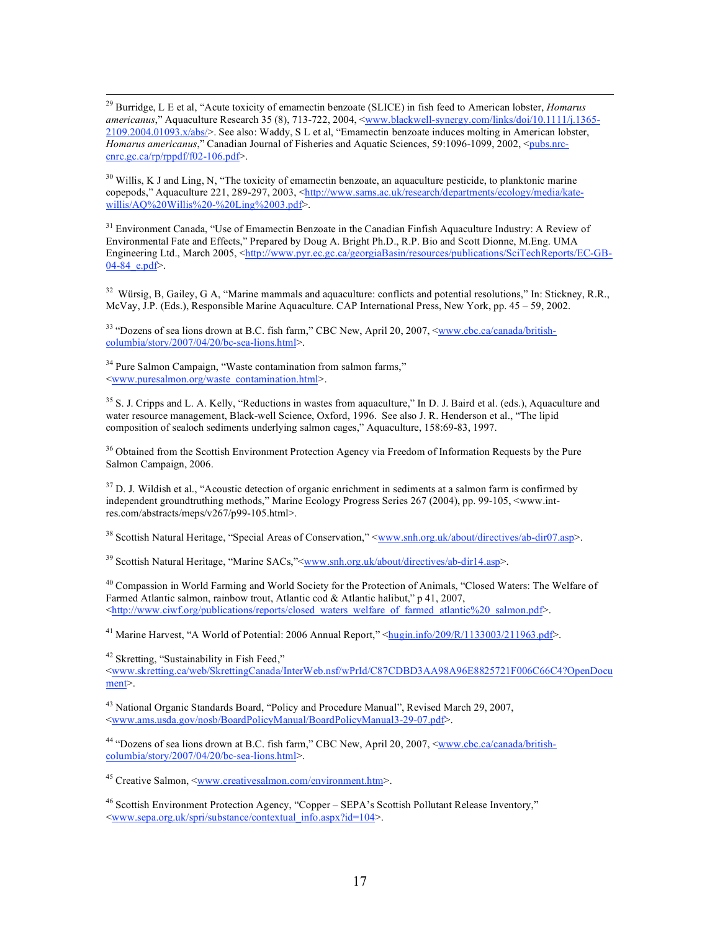29 Burridge, <sup>L</sup> <sup>E</sup> et al, "Acute toxicity of emamectin benzoate (SLICE) in fish feed to American lobster, *Homarus* americanus," Aquaculture Research 35 (8), 713-722, 2004, <www.blackwell-synergy.com/links/doi/10.1111/j.1365-2109.2004.01093.x/abs/>. See also: Waddy, S L et al, "Emamectin benzoate induces molting in American lobster, *Homarus americanus*," Canadian Journal of Fisheries and Aquatic Sciences, 59:1096-1099, 2002, <pubs.nrccnrc.gc.ca/rp/rppdf/f02-106.pdf>.

 $30$  Willis, K J and Ling, N, "The toxicity of emamectin benzoate, an aquaculture pesticide, to planktonic marine copepods," Aquaculture 221, 289-297, 2003, <http://www.sams.ac.uk/research/departments/ecology/media/katewillis/AO%20Willis%20-%20Ling%2003.pdf>.

<sup>31</sup> Environment Canada, "Use of Emamectin Benzoate in the Canadian Finfish Aquaculture Industry: A Review of Environmental Fate and Effects," Prepared by Doug A. Bright Ph.D., R.P. Bio and Scott Dionne, M.Eng. UMA Engineering Ltd., March 2005, <http://www.pyr.ec.gc.ca/georgiaBasin/resources/publications/SciTechReports/EC-GB- $04-84$  e.pdf>.

<sup>32</sup> Würsig, B, Gailey, G A, "Marine mammals and aquaculture: conflicts and potential resolutions," In: Stickney, R.R., McVay, J.P. (Eds.), Responsible Marine Aquaculture. CAP International Press, New York, pp. 45 – 59, 2002.

<sup>33</sup> "Dozens of sea lions drown at B.C. fish farm," CBC New, April 20, 2007, <<u>www.cbc.ca/canada/british-</u> columbia/story/2007/04/20/bc-sea-lions.html>.

<sup>34</sup> Pure Salmon Campaign, "Waste contamination from salmon farms," <www.puresalmon.org/waste\_contamination.html>.

 $35$  S. J. Cripps and L. A. Kelly, "Reductions in wastes from aquaculture," In D. J. Baird et al. (eds.), Aquaculture and water resource management, Black-well Science, Oxford, 1996. See also J. R. Henderson et al., "The lipid composition of sealoch sediments underlying salmon cages," Aquaculture, 158:69-83, 1997.

<sup>36</sup> Obtained from the Scottish Environment Protection Agency via Freedom of Information Requests by the Pure Salmon Campaign, 2006.

 $37$  D. J. Wildish et al., "Acoustic detection of organic enrichment in sediments at a salmon farm is confirmed by independent groundtruthing methods," Marine Ecology Progress Series 267 (2004), pp. 99-105, <www.intres.com/abstracts/meps/v267/p99-105.html>.

<sup>38</sup> Scottish Natural Heritage, "Special Areas of Conservation," <www.snh.org.uk/about/directives/ab-dir07.asp>.

<sup>39</sup> Scottish Natural Heritage, "Marine SACs,"<www.snh.org.uk/about/directives/ab-dir14.asp>.

<sup>40</sup> Compassion in World Farming and World Society for the Protection of Animals, "Closed Waters: The Welfare of Farmed Atlantic salmon, rainbow trout, Atlantic cod & Atlantic halibut," p 41, 2007, <http://www.ciwf.org/publications/reports/closed\_waters\_welfare\_of\_farmed\_atlantic%20\_salmon.pdf>.

<sup>41</sup> Marine Harvest, "A World of Potential: 2006 Annual Report," <hugin.info/209/R/1133003/211963.pdf>.

<sup>42</sup> Skretting, "Sustainability in Fish Feed,"

<www.skretting.ca/web/SkrettingCanada/InterWeb.nsf/wPrId/C87CDBD3AA98A96E8825721F006C66C4?OpenDocu ment>.

<sup>43</sup> National Organic Standards Board, "Policy and Procedure Manual", Revised March 29, 2007, <www.ams.usda.gov/nosb/BoardPolicyManual/BoardPolicyManual3-29-07.pdf>.

<sup>44</sup> "Dozens of sea lions drown at B.C. fish farm," CBC New, April 20, 2007, <www.cbc.ca/canada/britishcolumbia/story/2007/04/20/bc-sea-lions.html>.

<sup>45</sup> Creative Salmon, <www.creativesalmon.com/environment.htm>.

<sup>46</sup> Scottish Environment Protection Agency, "Copper – SEPA's Scottish Pollutant Release Inventory," <www.sepa.org.uk/spri/substance/contextual\_info.aspx?id=104>.